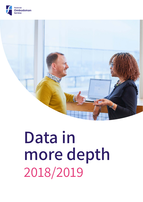



# **more depth** 2018/2019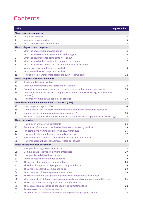## <span id="page-1-0"></span>**Contents**

| <b>Table</b> |                                                                                       | <b>Page Number</b> |
|--------------|---------------------------------------------------------------------------------------|--------------------|
|              | About this year's enquiries                                                           |                    |
| 1            | <b>Volume of contacts</b>                                                             | 3                  |
| 2            | <b>Volume of new enquiries</b>                                                        | 3                  |
| 3            | What people's enquiries were about                                                    | 4                  |
|              | About this year's new complaints                                                      |                    |
| 4            | What the new complaints were about                                                    | 5                  |
| 5            | What the new complaints were about, excluding PPI                                     | 5                  |
| 6            | What the new insurance complaints were about                                          | $6\phantom{a}$     |
| 7            | What the new banking and credit complaints were about                                 | $\overline{7}$     |
| 8            | What the new investments and pensions complaints were about                           | $\overline{7}$     |
| 9            | Volumes of new complaints - by product                                                | 8                  |
| 10           | What issues the new complaints involved                                               | 11                 |
| 11           | How complaints were spread across the businesses we cover                             | 12                 |
|              | About this year's resolved complaints                                                 |                    |
| 12           | <b>Total complaints we resolved</b>                                                   | 12                 |
| 13           | What our ombudsmen's final decisions were about                                       | $12 \overline{ }$  |
| 14           | Proportion of complaints in each area resolved by an ombudsman's final decision       | 13                 |
| 15           | Complaints where we awarded compensation for non-financial loss (e.g. inconvenience   | 13                 |
|              | or upset)                                                                             |                    |
| 16           | How many complaints we upheld - by product                                            | 13                 |
|              | <b>Complaints about independent financial advisers (IFAs)</b>                         |                    |
| 17           | <b>New complaints against IFAs</b>                                                    | 14                 |
| 18           | Uphold rate for top five most complained about products in complaints against IFAs    | 15                 |
| 19           | Uphold rate for different complaint types against IFAs                                | 15                 |
| 20           | Resolved complaints where the event being complained about happened over 15 years ago | 15                 |
|              | <b>About our service</b>                                                              |                    |
| 21           | How quickly we resolved complaints                                                    | 16                 |
| 22           | Proportion of complaints resolved within three months - by product                    | 16                 |
| 23           | PPI complaints waiting to be resolved at 31 March 2019                                | 16                 |
| 24           | How people who complained to us rated our service                                     | 17                 |
| 25           | How complaints handlers at financial businesses rated our service                     | 17                 |
| 26           | How managers at financial businesses rated our service                                | 18                 |
|              | About people who used our service                                                     |                    |
| 27           | How people brought complaints to us                                                   | 18                 |
| 28           | <b>Complaints we received from micro-enterprises</b>                                  | 19                 |
| 29           | How people said they'd heard about us                                                 | 19                 |
| 30           | Where people who complained to us live                                                | 19                 |
| 31           | The gender of people who complained to us                                             | 20                 |
| 32           | The ethnic backgrounds of people who complained to us                                 | 20                 |
| 33           | The ages of people who complained to us                                               | 20                 |
| 34           | What people of different ages complained about                                        | 20                 |
| 35           | The socio-economic background of people who complained to us this year                | 21                 |
| 36           | What people from different socio-economic backgrounds complained about this year      | 21                 |
| 37           | The occupational status of people who complained to us                                | 21                 |
| 38           | The occupational background of people who complained to us                            | 22                 |
| 39           | Awareness of the ombudsman service                                                    | 22                 |
| 40           | Awareness of the ombudsman service among different groups of people                   | 22                 |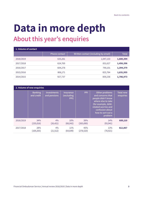## **Data in more depth**

## **About this year's enquiries**

<span id="page-2-0"></span>

| 1. Volume of contact |                      |                                      |              |  |  |
|----------------------|----------------------|--------------------------------------|--------------|--|--|
|                      | <b>Phone contact</b> | Written contact (including by email) | <b>Total</b> |  |  |
| 2018/2019            | 633,261              | 1,047,133                            | 1,680,394    |  |  |
| 2017/2018            | 624,769              | 831,627                              | 1,456,396    |  |  |
| 2016/2017            | 604,278              | 790,101                              | 1,394,379    |  |  |
| 2015/2016            | 806,171              | 825,784                              | 1,631,955    |  |  |
| 2014/2015            | 927,737              | 859,236                              | 1,786,973    |  |  |

<span id="page-2-1"></span>

| 2. Volume of new enquiries |                              |                                    |                                        |                   |                                                                                                                                                                                  |                        |
|----------------------------|------------------------------|------------------------------------|----------------------------------------|-------------------|----------------------------------------------------------------------------------------------------------------------------------------------------------------------------------|------------------------|
|                            | <b>Banking</b><br>and credit | <b>Investments</b><br>and pensions | <b>Insurance</b><br>(excluding<br>PPI) | PPI               | Other problems<br>and concerns that<br>people didn't know<br>where else to take<br>(for example, debt-<br>related worries and<br>confusion about<br>how to sort out a<br>problem | Total new<br>enquiries |
| 2018/2019                  | 34%<br>(235, 016)            | 4%<br>(26, 421)                    | 10%<br>(68, 042)                       | 39%<br>(265, 690) | 14%<br>(93, 941)                                                                                                                                                                 | 689,110                |
| 2017/2018                  | 28%<br>(169, 265)            | 4%<br>(21, 512)                    | 11%<br>(64, 649)                       | 45%<br>(278, 520) | 13%<br>(78, 921)                                                                                                                                                                 | 612,867                |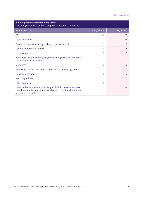| 3. What people's enquiries were about<br>(including enquiries that didn't progress to become a complaint)                                                      |                |                |  |  |
|----------------------------------------------------------------------------------------------------------------------------------------------------------------|----------------|----------------|--|--|
| <b>Product or issue</b>                                                                                                                                        | 2017/2018 %    | 2018/2019 %    |  |  |
| PPI                                                                                                                                                            | 45             | 39             |  |  |
| Loans and credit                                                                                                                                               | 11             | 18             |  |  |
| Current accounts (including packaged bank accounts)                                                                                                            | 9              | 9              |  |  |
| Car and motorbike insurance                                                                                                                                    | 4              | 4              |  |  |
| Credit cards                                                                                                                                                   | 3              | 3              |  |  |
| Warranties, mobile phone cover, home emergency cover and other<br>types of general insurance                                                                   | 3              | 3              |  |  |
| Mortgages                                                                                                                                                      | $\overline{2}$ | 2              |  |  |
| Interbank transfers, electronic money and other banking services                                                                                               | $\overline{2}$ | $\overline{2}$ |  |  |
| Household insurance                                                                                                                                            | $\overline{2}$ | $\overline{2}$ |  |  |
| Pension products                                                                                                                                               | 1              | 1              |  |  |
| Other products                                                                                                                                                 | 5              | 3              |  |  |
| Other problems and concerns that people didn't know where else to<br>take (for example, debt related worries and confusion about how to<br>sort out a problem) | 13             | 14             |  |  |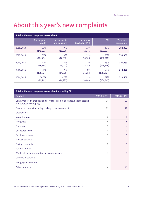## **About this year's new complaints**

<span id="page-4-0"></span>

| 4. What the new complaints were about |                              |                                    |                                     |                   |                                |
|---------------------------------------|------------------------------|------------------------------------|-------------------------------------|-------------------|--------------------------------|
|                                       | <b>Banking and</b><br>credit | <b>Investments</b><br>and pensions | <b>Insurance</b><br>(excluding PPI) | PPI               | <b>Total new</b><br>complaints |
| 2018/2019                             | 39%<br>(149, 933)            | 4%<br>(15,606)                     | 11%<br>(42, 346)                    | 46%<br>(180, 507) | 388,392                        |
| 2017/2018                             | 31%<br>(104, 214)            | 4%<br>(12, 632)                    | 11%<br>(36, 703)                    | 55%<br>(186, 418) | 339,967                        |
| 2016/2017                             | 31 %<br>(99, 888)            | 4%<br>(14, 471)                    | 12%<br>(38, 155)                    | 53%<br>(168, 769) | 321,283                        |
| 2015/2016                             | 31%<br>(106, 327)            | 4%<br>(14, 576)                    | 9%<br>(31, 284)                     | 56%<br>(188, 712) | 340,899                        |
| 2014/2015                             | 24.5%<br>(79, 763)           | 4.5%<br>(14, 723)                  | 9%<br>(30,080)                      | 62%<br>(204, 943) | 329,509                        |

<span id="page-4-1"></span>

| 5. What the new complaints were about, excluding PPI                                                  |                |                |  |  |
|-------------------------------------------------------------------------------------------------------|----------------|----------------|--|--|
| Product                                                                                               | 2017/2018 %    | 2018/2019 %    |  |  |
| Consumer credit products and services (e.g. hire purchase, debt collecting<br>and catalogue shopping) | 24             | 33             |  |  |
| Current accounts (including packaged bank accounts)                                                   | 21             | 20             |  |  |
| Credit cards                                                                                          | 7              | 7              |  |  |
| Motor insurance                                                                                       | 8              | 6              |  |  |
| Mortgages                                                                                             | 6              | 5              |  |  |
| Pensions                                                                                              | 3              | 4              |  |  |
| <b>Unsecured loans</b>                                                                                | 4              | 3              |  |  |
| <b>Buildings insurance</b>                                                                            | 3              | 3              |  |  |
| Travel insurance                                                                                      | $\overline{2}$ | $\overline{2}$ |  |  |
| Savings accounts                                                                                      | 2              | 1              |  |  |
| Term assurance                                                                                        | 1              | 1              |  |  |
| Whole-of-life policies and savings endowments                                                         | 1              | 1              |  |  |
| Contents insurance                                                                                    | 1              | 1              |  |  |
| Mortgage endowments                                                                                   | 1              | 1              |  |  |
| Other products                                                                                        | 16             | 13             |  |  |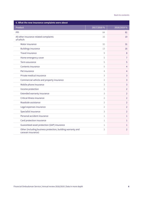<span id="page-5-0"></span>

| 6. What the new insurance complaints were about                                   |                |                |
|-----------------------------------------------------------------------------------|----------------|----------------|
| Product                                                                           | 2017/2018 %    | 2018/2019 %    |
| PPI                                                                               | 84             | 81             |
| All other insurance-related complaints<br>of which:                               | 16             | 19             |
| Motor insurance                                                                   | 32             | 31             |
| <b>Buildings insurance</b>                                                        | 13             | 16             |
| <b>Travel insurance</b>                                                           | 9              | 8              |
| Home emergency cover                                                              | 5              | $\overline{1}$ |
| Term assurance                                                                    | 5              | 5              |
| Contents insurance                                                                | 5              | $\overline{4}$ |
| Pet insurance                                                                     | 4              | 4              |
| Private medical insurance                                                         | 3              | 3              |
| Commercial vehicle and property insurance                                         | $\overline{2}$ | 3              |
| Mobile phone insurance                                                            | 3              | 3              |
| Income protection                                                                 | $\overline{2}$ | $\overline{2}$ |
| Extended warranty insurance                                                       | 3              | $\overline{2}$ |
| Critical illness insurance                                                        | $\overline{2}$ | $\overline{2}$ |
| Roadside assistance                                                               | $\overline{2}$ | $\overline{2}$ |
| Legal expenses insurance                                                          | $\overline{2}$ | $\overline{2}$ |
| Specialist insurance                                                              | 3              | $\overline{2}$ |
| Personal accident insurance                                                       | $\mathbf{1}$   | $\mathbf{1}$   |
| Card protection insurance                                                         | $\mathbf{1}$   | $\mathbf{1}$   |
| Guaranteed asset protection (GAP) insurance                                       | 1              | 1              |
| Other (including business protection, building warranty and<br>caravan insurance) | 2              | $\overline{2}$ |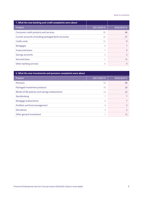<span id="page-6-0"></span>

| 7. What the new banking and credit complaints were about |                |               |
|----------------------------------------------------------|----------------|---------------|
| <b>Product</b>                                           | 2017/2018 %    | 2018/2019 %   |
| Consumer credit products and services                    | 35             | 46            |
| Current accounts (including packaged bank accounts)      | 31             | 27            |
| Credit cards                                             | 11             | 9             |
| Mortgages                                                | 9              |               |
| Unsecured loans                                          | 7              | 5             |
| Savings accounts                                         | $\overline{2}$ | $\mathcal{P}$ |
| Secured loans                                            |                | <1            |
| Other banking services                                   | 5              | 4             |

<span id="page-6-1"></span>

| 8. What the new investments and pensions complaints were about |            |                |  |
|----------------------------------------------------------------|------------|----------------|--|
| <b>Product</b>                                                 | 2017/2018% | 2018/2019 %    |  |
| Pensions                                                       | 42         | 48             |  |
| Packaged investment products                                   | 19         | 18             |  |
| Whole-of-life policies and savings endowments                  | 12         | 12             |  |
| Stockbroking                                                   | 7          |                |  |
| Mortgage endowments                                            | 9          |                |  |
| Portfolio and fund management                                  | 6          | 5              |  |
| <b>Derivatives</b>                                             | 3          | $\mathfrak{D}$ |  |
| Other general investment                                       |            | <1             |  |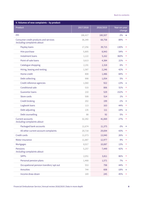| 9. Volumes of new complaints - by product                            |           |           |                        |  |
|----------------------------------------------------------------------|-----------|-----------|------------------------|--|
| Product                                                              | 2017/2018 | 2018/2019 | Year-on-year<br>change |  |
| PPI                                                                  | 186,417   | 180,507   | $-3%$<br>↓             |  |
| Consumer credit products and services<br>Including complaints about: | 36,349    | 68,758    | 89%<br>个               |  |
| Payday loans                                                         | 17,256    | 39,715    | 130%<br>个              |  |
| Hire purchase                                                        | 5,805     | 8,943     | 54%<br>个               |  |
| Instalment loans                                                     | 1,122     | 5,162     | 360%<br>个              |  |
| Point-of-sale loans                                                  | 3,613     | 4,384     | 21%<br>٠               |  |
| Catalogue shopping                                                   | 2,191     | 2,318     | 6%<br>个                |  |
| Hiring, leasing and renting                                          | 1,587     | 2,246     | 42%<br>Ϋ               |  |
| Home credit                                                          | 808       | 1,486     | 84%<br>个               |  |
| Debt collecting                                                      | 998       | 1,054     | 5%<br>个                |  |
| Credit reference agencies                                            | 1,060     | 922       | $-13%$<br>♦            |  |
| Conditional sale                                                     | 533       | 806       | 51%<br>个               |  |
| <b>Guarantor loans</b>                                               | 210       | 529       | 152%<br>个              |  |
| Store cards                                                          | 508       | 514       | 1%<br>个                |  |
| Credit broking                                                       | 202       | 199       | $-1%$<br>↓             |  |
| Logbook loans                                                        | 113       | 163       | 44%<br>个               |  |
| Debt adjusting                                                       | 135       | 111       | $-18%$<br>↓            |  |
| Debt counselling                                                     | 88        | 92        | 5%<br>个                |  |
| <b>Current accounts</b><br>Including complaints about:               | 32,392    | 41,069    | 27%<br>个               |  |
| Packaged bank accounts                                               | 11,674    | 11,375    | $-3%$<br>↓             |  |
| All other current account complaints                                 | 20,718    | 29,694    | 43%<br>个               |  |
| Credit cards                                                         | 11,073    | 13,940    | 26%<br>个               |  |
| Motor insurance                                                      | 11,887    | 12,977    | 9%<br>个                |  |
| Mortgages                                                            | 8,917     | 10,087    | 13%<br>个               |  |
| Pensions<br>Including complaints about:                              | 5,257     | 7,449     | 42%<br>个               |  |
| <b>SIPPs</b>                                                         | 2,051     | 3,811     | 86%<br>个               |  |
| Personal pension plans                                               | 1,468     | 1,571     | 7%<br>个                |  |
| Occupational pension transfers/opt out                               | 553       | 798       | 44%<br>个               |  |
| Annuities                                                            | 744       | 608       | $-18%$<br>↓            |  |
| Income draw-down                                                     | 169       | 245       | 45%<br>↑               |  |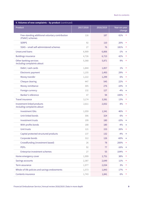| 9. Volumes of new complaints - by product (continued)              |           |           |                        |   |
|--------------------------------------------------------------------|-----------|-----------|------------------------|---|
| Product                                                            | 2017/2018 | 2018/2019 | Year-on-year<br>change |   |
| Free-standing additional voluntary contribution<br>(FSAVC) schemes | 116       | 187       | 61%                    | 个 |
| <b>SERPS</b>                                                       | 92        | 110       | 20%                    | 个 |
| SSAS - small self-administered schemes                             | 27        | 76        | 181%                   | 个 |
| <b>Unsecured loans</b>                                             | 6,909     | 6,806     | $-1\%$                 | ↓ |
| <b>Buildings insurance</b>                                         | 4,726     | 6,723     | 42%                    | 个 |
| Other banking services<br>Including complaints about:              | 5,368     | 5,871     | 9%                     | 个 |
| Debit / cash cards                                                 | 1,844     | 1,857     | 1%                     | 个 |
| Electronic payment                                                 | 1,155     | 1,493     | 29%                    | 个 |
| Money transfer                                                     | 1,222     | 1,299     | 6%                     | 个 |
| Cheque clearing                                                    | 447       | 545       | 22%                    | 个 |
| Money remittance                                                   | 305       | 276       | $-10%$                 | ↓ |
| Foreign currency                                                   | 132       | 127       | $-4%$                  | ↓ |
| Banker's reference                                                 | 47        | 94        | 100%                   | 个 |
| <b>Travel insurance</b>                                            | 3,174     | 3,581     | 13%                    | 个 |
| Investment-linked products<br>Including complaints about:          | 2,611     | 2,832     | 8%                     | 个 |
| <b>Investment ISAs</b>                                             | 1,059     | 1,541     | 46%                    | 个 |
| Unit-linked bonds                                                  | 306       | 324       | 6%                     | Ϋ |
| Investment trusts                                                  | 199       | 180       | $-10%$                 | ↓ |
| With-profits bonds                                                 | 188       | 180       | $-4%$                  | ↓ |
| Unit trusts                                                        | 121       | 153       | 26%                    | 个 |
| Capital protected structured products                              | 137       | 132       | $-4%$                  | ↓ |
| Corporate bonds                                                    | 312       | 126       | $-60%$                 | ↓ |
| Crowdfunding (investment based)                                    | 26        | 78        | 200%                   | 个 |
| <b>PEPs</b>                                                        | 92        | 77        | $-16%$                 | ↓ |
| Enterprise investment schemes                                      | 27        | 55        | 104%                   | 个 |
| Home emergency cover                                               | 1,999     | 2,751     | 38%                    | 个 |
| Savings accounts                                                   | 2,387     | 2,649     | 11%                    | 个 |
| Term assurance                                                     | 1,977     | 2,034     | 3%                     | 个 |
| Whole-of-life policies and savings endowments                      | 1,573     | 1,843     | 17%                    | 个 |
| Contents insurance                                                 | 1,743     | 1,841     | 6%                     | 个 |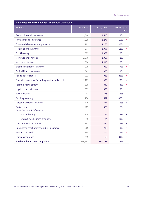<span id="page-9-0"></span>

| 9. Volumes of new complaints - by product (continued) |           |           |                        |  |
|-------------------------------------------------------|-----------|-----------|------------------------|--|
| Product                                               | 2017/2018 | 2018/2019 | Year-on-year<br>change |  |
| Pet and livestock insurance                           | 1,544     | 1,593     | 3%<br>个                |  |
| Private medical insurance                             | 1,115     | 1,277     | 15%<br>个               |  |
| Commercial vehicles and property                      | 792       | 1,166     | 47%<br>个               |  |
| Mobile phone insurance                                | 977       | 1,097     | 12%<br>个               |  |
| Stockbroking                                          | 873       | 1,069     | 22%<br>个               |  |
| Mortgage endowments                                   | 1,078     | 1,067     | $-1%$<br>↓             |  |
| Income protection                                     | 880       | 1,016     | 15%<br>个               |  |
| <b>Extended warranty insurance</b>                    | 919       | 980       | 7%<br>个                |  |
| Critical illness insurance                            | 861       | 953       | 11%<br>个               |  |
| Roadside assistance                                   | 712       | 936       | 31%<br>个               |  |
| Specialist insurance (including marine and event)     | 1,129     | 900       | $-23%$<br>↓            |  |
| Portfolio management                                  | 815       | 848       | 4%<br>个                |  |
| Legal expenses insurance                              | 699       | 835       | 19%<br>个               |  |
| <b>Secured loans</b>                                  | 781       | 655       | $-16%$<br>↓            |  |
| <b>Building warranty</b>                              | 290       | 421       | 45%<br>个               |  |
| Personal accident insurance                           | 410       | 377       | $-8%$<br>↓             |  |
| <b>Derivatives</b><br>Including complaints about:     | 402       | 376       | $-6%$<br>J.            |  |
| Spread-betting                                        | 179       | 155       | $-13%$<br>↓            |  |
| Interest-rate hedging products                        | 40        | 24        | $-40%$<br>↓            |  |
| Card protection insurance                             | 347       | 282       | $-19%$<br>↓            |  |
| Guaranteed asset protection (GAP insurance)           | 209       | 230       | 10%                    |  |
| <b>Business protection</b>                            | 189       | 206       | 9%<br>个                |  |
| Caravan insurance                                     | 119       | 165       | 39%<br>个               |  |
| <b>Total number of new complaints</b>                 | 339,967   | 388,392   | 14%<br>个               |  |
|                                                       |           |           |                        |  |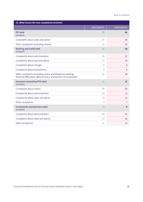<span id="page-10-0"></span>

| 10. What issues the new complaints involved                                                                                    |             |                |
|--------------------------------------------------------------------------------------------------------------------------------|-------------|----------------|
|                                                                                                                                | 2017/2018 % | 2018/2019 %    |
| <b>PPI</b> total<br>of which:                                                                                                  | 55          | 46             |
| Complaints about sales and advice                                                                                              | 87          | 90             |
| Other complaints (including claims)                                                                                            | 13          | 10             |
| <b>Banking and credit total</b><br>of which:                                                                                   | 31          | 39             |
| Complaints about administration                                                                                                | 30          | 22             |
| Complaints about sale and advice                                                                                               | 27          | 28             |
| Complaints about charges                                                                                                       | 9           | $6\phantom{1}$ |
| Complaints about transactions                                                                                                  | 8           | 6              |
| Other complaints (including online and telephone banking,<br>financial difficulties, debt recovery, and section 75 complaints) | 26          | 38             |
| Insurance (excluding PPI) total<br>of which:                                                                                   | 11          | 11             |
| Complaints about claims                                                                                                        | 58          | 60             |
| Complaints about administration                                                                                                | 24          | 21             |
| Complaints about sales and advice                                                                                              | 14          | 12             |
| Other complaints                                                                                                               | 3           | $\overline{7}$ |
| Investments and pensions total<br>of which:                                                                                    | 4           | 4              |
| Complaints about administration                                                                                                | 45          | 52             |
| Complaints about sales and advice                                                                                              | 43          | 36             |
| Other complaints                                                                                                               | 12          | 13             |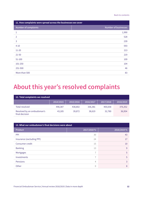<span id="page-11-0"></span>

| 11. How complaints were spread across the businesses we cover |                             |  |  |
|---------------------------------------------------------------|-----------------------------|--|--|
| Number of complaints                                          | <b>Number of businesses</b> |  |  |
| 1                                                             | 1,990                       |  |  |
| $\overline{2}$                                                | 528                         |  |  |
| 3                                                             | 239                         |  |  |
| $4 - 10$                                                      | 593                         |  |  |
| $11 - 20$                                                     | 213                         |  |  |
| $21 - 50$                                                     | 219                         |  |  |
| 51-100                                                        | 109                         |  |  |
| 101-250                                                       | 104                         |  |  |
| 251-500                                                       | 46                          |  |  |
| More than 500                                                 | 83                          |  |  |

## **About this year's resolved complaints**

<span id="page-11-1"></span>

| 12. Total complaints we resolved             |           |           |           |           |           |
|----------------------------------------------|-----------|-----------|-----------|-----------|-----------|
|                                              | 2014/2015 | 2015/2016 | 2016/2017 | 2017/2018 | 2018/2019 |
| Total resolved                               | 448.387   | 438,802   | 336,381   | 400.658   | 376,352   |
| Resolved by an ombudsman's<br>final decision | 43,185    | 39,872    | 38,619    | 32,780    | 36,954    |

| 13. What our ombudsmen's final decisions were about |                |             |  |  |
|-----------------------------------------------------|----------------|-------------|--|--|
| Product                                             | 2017/2018 %    | 2018/2019 % |  |  |
| PPI                                                 | 30             | 43          |  |  |
| Insurance (excluding PPI)                           | 24             | 17          |  |  |
| Consumer credit                                     | 15             | 10          |  |  |
| <b>Banking</b>                                      | 13             | 9           |  |  |
| Mortgages                                           | $\overline{ }$ | 5           |  |  |
| Investments                                         | $\overline{7}$ | 5           |  |  |
| Pensions                                            | 4              | 3           |  |  |
| Other                                               | $\Omega$       | 8           |  |  |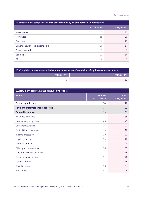| 14. Proportion of complaints in each area resolved by an ombudsman's final decision |             |             |  |  |
|-------------------------------------------------------------------------------------|-------------|-------------|--|--|
|                                                                                     | 2017/2018 % | 2018/2019 % |  |  |
| Investments                                                                         | 27          | 22          |  |  |
| Mortgages                                                                           | 22          | 20          |  |  |
| Pensions                                                                            | 21          | 27          |  |  |
| General insurance (excluding PPI)                                                   | 19          | 17          |  |  |
| Consumer credit                                                                     | 17          | 9           |  |  |
| <b>Banking</b>                                                                      | 16          | 14          |  |  |
| <b>PPI</b>                                                                          | 3           |             |  |  |

<span id="page-12-0"></span>

| $\pm$ 15. Complaints where we awarded compensation for non-financial loss (e.g. inconvenience or upset) |             |  |
|---------------------------------------------------------------------------------------------------------|-------------|--|
| 2017/2018 %                                                                                             | 2018/2019 % |  |
|                                                                                                         |             |  |

| 16. How many complaints we upheld - by product |                      |                       |  |  |
|------------------------------------------------|----------------------|-----------------------|--|--|
| Product                                        | Upheld<br>2017/2018% | Upheld<br>2018/2019 % |  |  |
| <b>Overall uphold rate</b>                     | 34                   | 28                    |  |  |
| <b>Payment protection insurance (PPI)</b>      | 36                   | 21                    |  |  |
| <b>General insurance</b>                       | 30                   | 31                    |  |  |
| <b>Buildings insurance</b>                     | 34                   | 35                    |  |  |
| Home emergency cover                           | 46                   | 45                    |  |  |
| Contents insurance                             | 27                   | 27                    |  |  |
| Critical illness insurance                     | 19                   | 16                    |  |  |
| Income protection                              | 20                   | 22                    |  |  |
| Legal expenses                                 | 29                   | 26                    |  |  |
| Motor insurance                                | 28                   | 29                    |  |  |
| Other general insurance                        | 35                   | 37                    |  |  |
| Personal accident insurance                    | 23                   | 14                    |  |  |
| Private medical insurance                      | 24                   | 20                    |  |  |
| Term assurance                                 | 14                   | 15                    |  |  |
| <b>Travel insurance</b>                        | 36                   | 34                    |  |  |
| Warranties                                     | 44                   | 48                    |  |  |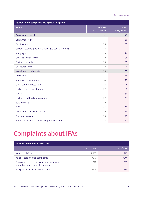<span id="page-13-0"></span>

| 16. How many complaints we upheld - by product      |                      |                       |  |  |
|-----------------------------------------------------|----------------------|-----------------------|--|--|
| Product                                             | Upheld<br>2017/2018% | Upheld<br>2018/2019 % |  |  |
| <b>Banking and credit</b>                           | 31                   | 41                    |  |  |
| Consumer credit                                     | 47                   | 50                    |  |  |
| Credit cards                                        | 28                   | 37                    |  |  |
| Current accounts (including packaged bank accounts) | 22                   | 42                    |  |  |
| Mortgages                                           | 23                   | 26                    |  |  |
| Other banking services                              | 29                   | 35                    |  |  |
| Savings accounts                                    | 28                   | 33                    |  |  |
| <b>Unsecured loans</b>                              | 28                   | 26                    |  |  |
| <b>Investments and pensions</b>                     | 28                   | 33                    |  |  |
| <b>Derivatives</b>                                  | 21                   | 18                    |  |  |
| Mortgage endowments                                 | 14                   | 18                    |  |  |
| Other general investment                            | 28                   | 44                    |  |  |
| Packaged investment products                        | 32                   | 38                    |  |  |
| Pensions                                            | 31                   | 36                    |  |  |
| Portfolio and fund management                       | 37                   | 43                    |  |  |
| Stockbroking                                        | 29                   | 42                    |  |  |
| <b>SIPPs</b>                                        | 52                   | 61                    |  |  |
| Occupational pension transfers                      | 30                   | 39                    |  |  |
| Personal pensions                                   | 28                   | 27                    |  |  |
| Whole-of-life policies and savings endowments       | 18                   | 17                    |  |  |

## **Complaints about IFAs**

<span id="page-13-1"></span>

| 17. New complaints against IFAs                                                 |           |           |
|---------------------------------------------------------------------------------|-----------|-----------|
|                                                                                 | 2017/2018 | 2018/2019 |
| New complaints                                                                  | 1,678     | 1,915     |
| As a proportion of all complaints                                               | $<1\%$    | $<1\%$    |
| Complaints where the event being complained<br>about happened over 15 years ago | 271       | 307       |
| As a proportion of all IFA complaints                                           | 16%       | 16%       |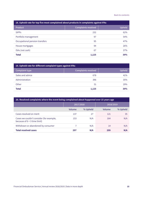<span id="page-14-0"></span>

| 18. Uphold rate for top five most complained about products in complaints against IFAs |                            |        |  |
|----------------------------------------------------------------------------------------|----------------------------|--------|--|
| <b>Product</b>                                                                         | <b>Complaints resolved</b> | Upheld |  |
| <b>SIPPS</b>                                                                           | 232                        | 62%    |  |
| Portfolio management                                                                   | 97                         | 54%    |  |
| Occupational pension transfers                                                         | 95                         | 47%    |  |
| House mortgages                                                                        | 94                         | 26%    |  |
| ISAs (not cash)                                                                        | 67                         | 37%    |  |
| <b>Total</b>                                                                           | 1,125                      | 39%    |  |

<span id="page-14-1"></span>

| 19. Uphold rate for different complaint types against IFAs |                            |        |  |
|------------------------------------------------------------|----------------------------|--------|--|
| Complaint type                                             | <b>Complaints resolved</b> | Upheld |  |
| Sales and advice                                           | 678                        | 41%    |  |
| Administration                                             | 396                        | 35%    |  |
| Other                                                      | 51                         | 29%    |  |
| <b>Total</b>                                               | 1,125                      | 39%    |  |

<span id="page-14-2"></span>

| 20. Resolved complaints where the event being complained about happened over 15 years ago |           |          |           |          |
|-------------------------------------------------------------------------------------------|-----------|----------|-----------|----------|
|                                                                                           | 2017/2018 |          | 2018/2019 |          |
|                                                                                           | Volume    | % Upheld | Volume    | % Upheld |
| Cases resolved on merit                                                                   | 137       | 27       | 121       | 35       |
| Cases we couldn't consider (for example,<br>because of $6 + 3$ time limit)                | 153       | N/A      | 164       | N/A      |
| Withdrawn or abandoned by consumer                                                        |           | N/A      | 14        | N/A      |
| <b>Total resolved cases</b>                                                               | 297       | N/A      | 299       | N/A      |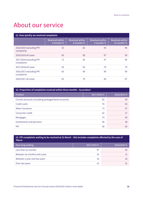## **About our service**

<span id="page-15-0"></span>

| 21. How quickly we resolved complaints |                                      |                                      |                                      |                                       |  |  |
|----------------------------------------|--------------------------------------|--------------------------------------|--------------------------------------|---------------------------------------|--|--|
|                                        | <b>Resolved within</b><br>3 months % | <b>Resolved within</b><br>6 months % | <b>Resolved within</b><br>9 months % | <b>Resolved within</b><br>12 months % |  |  |
| 2018/2019 excluding PPI<br>complaints  | 53                                   | 82                                   | 93                                   | 96                                    |  |  |
| 2018/2019 all cases                    | 60                                   | 80                                   | 87                                   | 90                                    |  |  |
| 2017/2018 excluding PPI<br>complaints  | 72                                   | 92                                   | 97                                   | 99                                    |  |  |
| 2017/2018 all cases                    | 50                                   | 65                                   | 70                                   | 74                                    |  |  |
| 2016/2017 excluding PPI<br>complaints  | 83                                   | 96                                   | 98                                   | 99                                    |  |  |
| 2016/2017 all cases                    | 65                                   | 79                                   | 84                                   | 87                                    |  |  |

<span id="page-15-1"></span>

| 22. Proportion of complaints resolved within three months - by product |             |             |  |  |  |
|------------------------------------------------------------------------|-------------|-------------|--|--|--|
| <b>Product</b>                                                         | 2017/2018 % | 2018/2019 % |  |  |  |
| Current accounts (including packaged bank accounts)                    | 82          | 69          |  |  |  |
| Credit cards                                                           | 78          | 60          |  |  |  |
| Motor insurance                                                        | 73          | 67          |  |  |  |
| Consumer credit                                                        | 62          | 27          |  |  |  |
| <b>Mortgages</b>                                                       | 74          | 60          |  |  |  |
| Investments and pensions                                               | 56          | 48          |  |  |  |
| <b>PPI</b>                                                             | 38          | 65          |  |  |  |

#### <span id="page-15-2"></span>**23. PPI complaints waiting to be resolved at 31 March – this includes complaints affected by the case of Plevin**

| How long waiting              | 2017/2018 % | 2018/2019 % |
|-------------------------------|-------------|-------------|
| Less than six months          | -47         | 50          |
| Between six months and a year | 14          |             |
| Between a year and two years  | 16          | 18          |
| Over two years                | 23          |             |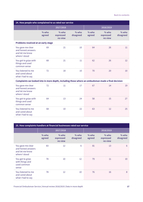<span id="page-16-0"></span>

| 24. How people who complained to us rated our service                                             |                   |                                 |                      |                   |                                 |                      |
|---------------------------------------------------------------------------------------------------|-------------------|---------------------------------|----------------------|-------------------|---------------------------------|----------------------|
|                                                                                                   |                   | 2017/2018                       |                      |                   | 2018/2019                       |                      |
|                                                                                                   | $%$ who<br>agreed | $%$ who<br>expressed<br>no view | $%$ who<br>disagreed | $%$ who<br>agreed | $%$ who<br>expressed<br>no view | $%$ who<br>disagreed |
| Problems resolved at an early stage                                                               |                   |                                 |                      |                   |                                 |                      |
| You gave me clear<br>and honest answers<br>and let me know<br>where I stood                       | 69                | 21                              | 10                   | 64                | 26                              | 11                   |
| You got to grips with<br>things and used<br>common sense                                          | 68                | 21                              | 11                   | 62                | 26                              | 12                   |
| You listened to me<br>and cared about<br>what I had to say                                        | 72                | 18                              | 10                   | 70                | 20                              | 10                   |
| Complaints we looked into in more depth, including those where an ombudsman made a final decision |                   |                                 |                      |                   |                                 |                      |
| You gave me clear<br>and honest answers<br>and let me know<br>where I stood                       | 72                | 11                              | 17                   | 67                | 14                              | 19                   |
| You got to grips with<br>things and used<br>common sense                                          | 64                | 13                              | 24                   | 58                | 15                              | 27                   |
| You listened to me<br>and cared about<br>what I had to say                                        | 68                | 10                              | 22                   | 63                | 12                              | 25                   |

<span id="page-16-1"></span>

| 25. How complaints handlers at financial businesses rated our service       |                   |                                 |                      |                   |                                 |                      |
|-----------------------------------------------------------------------------|-------------------|---------------------------------|----------------------|-------------------|---------------------------------|----------------------|
|                                                                             |                   | 2017/2018                       |                      |                   | 2018/2019                       |                      |
|                                                                             | $%$ who<br>agreed | $%$ who<br>expressed<br>no view | $%$ who<br>disagreed | $%$ who<br>agreed | $%$ who<br>expressed<br>no view | $%$ who<br>disagreed |
| You gave me clear<br>and honest answers<br>and let me know<br>where I stood | 83                | 12                              | 6                    | 81                | 13                              | 6                    |
| You got to grips<br>with things and<br>used common<br>sense                 | 78                | 10                              | 12                   | 79                | 11                              | 10                   |
| You listened to me<br>and cared about<br>what I had to say                  | 78                | 12                              | 10                   | 76                | 16                              | 8                    |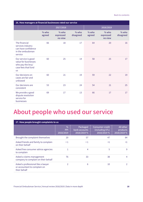<span id="page-17-0"></span>

| 26. How managers at financial businesses rated our service                                           |                   |                                 |                      |                   |                                 |                      |
|------------------------------------------------------------------------------------------------------|-------------------|---------------------------------|----------------------|-------------------|---------------------------------|----------------------|
|                                                                                                      |                   | 2017/2018                       |                      |                   | 2018/2019                       |                      |
|                                                                                                      | $%$ who<br>agreed | $%$ who<br>expressed<br>no view | $%$ who<br>disagreed | $%$ who<br>agreed | $%$ who<br>expressed<br>no view | $%$ who<br>disagreed |
| The financial<br>services industry<br>can have confidence<br>in the ombudsman<br>service             | 66                | 18                              | 17                   | 64                | 20                              | 16                   |
| Our service is good<br>value for businesses<br>who pay the levy/<br>case fees that fund<br><b>us</b> | 60                | 25                              | 14                   | 58                | 25                              | 17                   |
| Our decisions on<br>cases are fair and<br>unbiased                                                   | 60                | 21                              | 19                   | 59                | 22                              | 19                   |
| Our decisions are<br>consistent                                                                      | 53                | 23                              | 24                   | 54                | 21                              | 25                   |
| We provide a good<br>dispute resolution<br>service for<br>businesses                                 | 69                | 17                              | 13                   | 66                | 17                              | 17                   |

### **About people who used our service**

<span id="page-17-1"></span>

| 27. How people brought complaints to us                                            |                                          |                                          |                                                          |                                      |  |  |
|------------------------------------------------------------------------------------|------------------------------------------|------------------------------------------|----------------------------------------------------------|--------------------------------------|--|--|
|                                                                                    | $\frac{0}{0}$<br><b>PPI</b><br>2018/2019 | Packaged<br>bank accounts<br>2018/2019 % | <b>Consumer credit</b><br>(including STL)<br>2018/2019 % | All other<br>products<br>2018/2019 % |  |  |
| Brought the complaint themselves                                                   | 20                                       | 57                                       | 47                                                       | 84                                   |  |  |
| Asked friends and family to complain<br>on their behalf                            | $\leq 1$                                 | $\leq$ 1                                 | $\leq$ 1                                                 | <1                                   |  |  |
| Asked free consumer advice agencies<br>to complain                                 |                                          | 4                                        | 5                                                        | 9                                    |  |  |
| Asked a claims management<br>company to complain on their behalf                   | 76                                       | 33                                       | 38                                                       | 4                                    |  |  |
| Asked a professional like a lawyer<br>or accountant to complain on<br>their behalf | $\mathfrak{D}$                           | 6                                        | 10                                                       |                                      |  |  |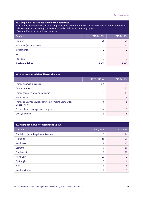<span id="page-18-0"></span>

| 28. Complaints we received from micro-enterprises<br>In 2018/2019 we could only consider complaints from micro-enterprises - businesses with an annual turnover or<br>balance sheet not exceeding 2 million euros, and with fewer than 10 employees.<br>(From April 2019, our jurisdiction increased.) |               |             |  |  |
|--------------------------------------------------------------------------------------------------------------------------------------------------------------------------------------------------------------------------------------------------------------------------------------------------------|---------------|-------------|--|--|
| Product                                                                                                                                                                                                                                                                                                | 2017/2018 %   | 2018/2019 % |  |  |
| <b>Banking</b>                                                                                                                                                                                                                                                                                         | 78            | 79          |  |  |
| Insurance (excluding PPI)                                                                                                                                                                                                                                                                              | 17            | 17          |  |  |
| Investments                                                                                                                                                                                                                                                                                            | $\mathcal{P}$ |             |  |  |
| PPI                                                                                                                                                                                                                                                                                                    | 3             |             |  |  |
| Pensions                                                                                                                                                                                                                                                                                               | $\leq$ 1      | <1          |  |  |
| <b>Total complaints</b>                                                                                                                                                                                                                                                                                | 4,302         | 5,345       |  |  |

| 29. How people said they'd heard about us                                    |             |             |  |  |  |
|------------------------------------------------------------------------------|-------------|-------------|--|--|--|
|                                                                              | 2017/2018 % | 2018/2019 % |  |  |  |
| From a financial business                                                    | 29          | 31          |  |  |  |
| On the internet                                                              | 22          | 22          |  |  |  |
| From a friend, relative or colleague                                         | 14          | 14          |  |  |  |
| In the media                                                                 | 11          | 9           |  |  |  |
| From a consumer advice agency (e.g. Trading Standards or<br>Citizens Advice) | 8           | 8           |  |  |  |
| From a claims management company                                             | 4           |             |  |  |  |
| Other/unknown                                                                | 12          | 8           |  |  |  |

<span id="page-18-1"></span>

| 30. Where people who complained to us live |                |                |  |  |  |
|--------------------------------------------|----------------|----------------|--|--|--|
| Location                                   | 2017/2018      | 2018/2019      |  |  |  |
| South East (Including Greater London)      | 26             | 26             |  |  |  |
| Midlands                                   | 21             | 20             |  |  |  |
| North West                                 | 12             | 12             |  |  |  |
| Scotland                                   | 9              | 10             |  |  |  |
| South West                                 | 9              | 10             |  |  |  |
| North East                                 | 10             | 9              |  |  |  |
| East Anglia                                | 6              | 6              |  |  |  |
| Wales                                      | 5              | 5              |  |  |  |
| Northern Ireland                           | $\overline{2}$ | $\mathfrak{D}$ |  |  |  |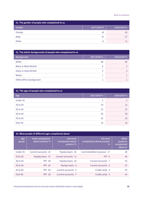<span id="page-19-0"></span>

| 31. The gender of people who complained to us |             |             |  |  |  |
|-----------------------------------------------|-------------|-------------|--|--|--|
| Gender                                        | 2017/2018 % | 2018/2019 % |  |  |  |
| Female                                        | 42          | 43          |  |  |  |
| Male                                          | 57          | 57          |  |  |  |
| Other                                         | <1          |             |  |  |  |

<span id="page-19-1"></span>

| 32. The ethnic backgrounds of people who complained to us |             |             |  |  |  |
|-----------------------------------------------------------|-------------|-------------|--|--|--|
| <b>Background</b>                                         | 2017/2018 % | 2018/2019 % |  |  |  |
| White                                                     | 88          | 92          |  |  |  |
| <b>Black or Black British</b>                             | 6           |             |  |  |  |
| Asian or Asian British                                    | 4           |             |  |  |  |
| Mixed                                                     |             |             |  |  |  |
| Other ethnic background                                   |             |             |  |  |  |

<span id="page-19-2"></span>

| 33. The ages of people who complained to us |             |             |
|---------------------------------------------|-------------|-------------|
| Age                                         | 2017/2018 % | 2018/2019 % |
| Under 25                                    | 2           | っ           |
| 25 to 34                                    | 10          | 11          |
| 35 to 44                                    | 22          | 21          |
| 45 to 54                                    | 30          | 29          |
| 55 to 65                                    | 22          | 23          |
| Over <sub>65</sub>                          | 14          | 15          |

<span id="page-19-3"></span>

| 34. What people of different ages complained about |                                     |                                          |                                              |                                            |
|----------------------------------------------------|-------------------------------------|------------------------------------------|----------------------------------------------|--------------------------------------------|
| Age<br>group                                       | Most complained-<br>about product % | 2nd most<br>complained-about<br>product% | 3rd most<br>complained-about product<br>$\%$ | Other<br>products<br>complained<br>about % |
| Under 25                                           | Current accounts 25                 | Payday loans 20                          | Car/motorbike insurance 17                   | 38                                         |
| 25 to 34                                           | Payday loans 37                     | Current accounts 11                      | PPI <sub>8</sub>                             | 44                                         |
| 35 to 44                                           | <b>PPI 44</b>                       | Payday loans 16                          | Current accounts 7                           | 33                                         |
| 45 to 54                                           | PPI 62                              | Payday loans 6                           | Current accounts 5                           | 27                                         |
| 55 to 64                                           | <b>PPI 63</b>                       | Current accounts 5                       | Credit cards 3                               | 29                                         |
| Over <sub>65</sub>                                 | <b>PPI 56</b>                       | Current accounts 7                       | Credit cards 3                               | 34                                         |

Financial Ombudsman Service | Annual review 2018/2019 | Data in more depth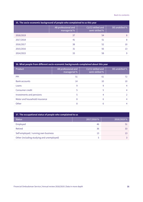<span id="page-20-0"></span>

| 35. The socio-economic background of people who complained to us this year |                                     |                                     |                |
|----------------------------------------------------------------------------|-------------------------------------|-------------------------------------|----------------|
|                                                                            | AB professional and<br>managerial % | C1/C2 skilled and<br>semi-skilled % | DE unskilled % |
| 2018/2019                                                                  | 37                                  | 54                                  | 8              |
| 2017/2018                                                                  | 41                                  | 51                                  | 8              |
| 2016/2017                                                                  | 38                                  | 52                                  | 10             |
| 2015/2016                                                                  | 31                                  | 56                                  | 13             |
| 2014/2015                                                                  | 33                                  | 58                                  | q              |

<span id="page-20-1"></span>

| 36. What people from different socio-economic backgrounds complained about this year |                                     |                                     |                |
|--------------------------------------------------------------------------------------|-------------------------------------|-------------------------------------|----------------|
| <b>Product</b>                                                                       | AB professional and<br>managerial % | C1/C2 skilled and<br>semi-skilled % | DE unskilled % |
| <b>PPI</b>                                                                           | 51                                  | 61                                  | 72             |
| <b>Bank accounts</b>                                                                 | 14                                  | 10                                  | 10             |
| Loans                                                                                | 9                                   | 9                                   |                |
| Consumer credit                                                                      | 5                                   | 5                                   | 4              |
| Investments and pensions                                                             | 5                                   | 4                                   |                |
| Motor and household insurance                                                        | 8                                   | 6                                   |                |
| Other                                                                                | 8                                   | 6                                   |                |
|                                                                                      |                                     |                                     |                |

<span id="page-20-2"></span>

| 37. The occupational status of people who complained to us |             |             |  |
|------------------------------------------------------------|-------------|-------------|--|
| <b>Status</b>                                              | 2017/2018 % | 2018/2019 % |  |
| Employed                                                   | 46          | 51          |  |
| Retired                                                    | 36          | 33          |  |
| Self-employed / running own business                       | 13          |             |  |
| Other (including studying and unemployed)                  | 5           |             |  |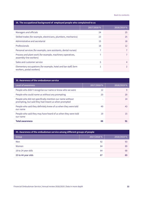<span id="page-21-0"></span>

| 38. The occupational background of employed people who complained to us                    |             |             |
|--------------------------------------------------------------------------------------------|-------------|-------------|
|                                                                                            | 2017/2018 % | 2018/2019 % |
| Managers and officials                                                                     | 24          | 25          |
| Skilled trades (for example, electricians, plumbers, mechanics)                            | 23          | 25          |
| Administrative and secretarial                                                             | 15          | 18          |
| Professionals                                                                              | 18          | 12          |
| Personal services (for example, care assistants, dental nurses)                            | 7           |             |
| Process and plant work (for example, machinery operatives,<br>assembly-line workers)       | 7           |             |
| Sales and customer service                                                                 | 5           | 4           |
| Elementary occupations (for example, hotel and bar staff, farm<br>workers, postal workers) | T           | 2           |

<span id="page-21-1"></span>

| 39. Awareness of the ombudsman service                                                                          |             |             |
|-----------------------------------------------------------------------------------------------------------------|-------------|-------------|
| Level of awareness                                                                                              | 2017/2018 % | 2018/2019 % |
| People who didn't recognise our name or know who we were                                                        | 12          | 9           |
| People who could name us without any prompting                                                                  | 20          | 20          |
| People who did not specifically mention our name without<br>prompting, but said they had meant us when prompted | ۰           | 14          |
| People who said they definitely knew of us when they were told<br>our name                                      | 49          | 43          |
| People who said they may have heard of us when they were told<br>our name                                       | 19          | 15          |
| <b>Total awareness</b>                                                                                          | 88          | 91          |

| 40. Awareness of the ombudsman service among different groups of people |             |             |
|-------------------------------------------------------------------------|-------------|-------------|
| Group                                                                   | 2017/2018 % | 2018/2019 % |
| Men                                                                     | 92          | 93          |
| Women                                                                   | 84          | 89          |
| 18 to 24 year olds                                                      | 64          | 68          |
| 25 to 44 year olds                                                      | 87          | 89          |